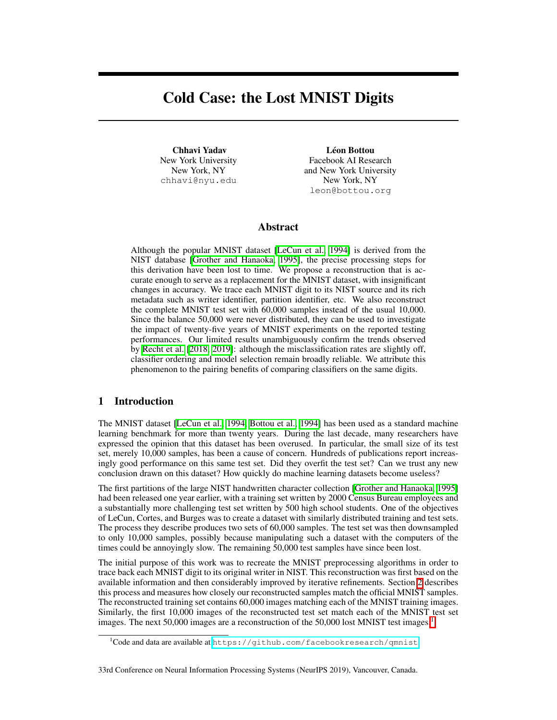# Cold Case: the Lost MNIST Digits

Chhavi Yadav New York University New York, NY chhavi@nyu.edu

Léon Bottou Facebook AI Research and New York University New York, NY leon@bottou.org

## Abstract

Although the popular MNIST dataset [\[LeCun et al., 1994\]](#page-9-0) is derived from the NIST database [\[Grother and Hanaoka, 1995\]](#page-9-1), the precise processing steps for this derivation have been lost to time. We propose a reconstruction that is accurate enough to serve as a replacement for the MNIST dataset, with insignificant changes in accuracy. We trace each MNIST digit to its NIST source and its rich metadata such as writer identifier, partition identifier, etc. We also reconstruct the complete MNIST test set with 60,000 samples instead of the usual 10,000. Since the balance 50,000 were never distributed, they can be used to investigate the impact of twenty-five years of MNIST experiments on the reported testing performances. Our limited results unambiguously confirm the trends observed by [Recht et al.](#page-9-2) [\[2018,](#page-9-2) [2019\]](#page-9-3): although the misclassification rates are slightly off, classifier ordering and model selection remain broadly reliable. We attribute this phenomenon to the pairing benefits of comparing classifiers on the same digits.

# 1 Introduction

The MNIST dataset  $[LeCun et al.]$  1994, Bottou et al., 1994, has been used as a standard machine learning benchmark for more than twenty years. During the last decade, many researchers have expressed the opinion that this dataset has been overused. In particular, the small size of its test set, merely 10,000 samples, has been a cause of concern. Hundreds of publications report increasingly good performance on this same test set. Did they overfit the test set? Can we trust any new conclusion drawn on this dataset? How quickly do machine learning datasets become useless?

The first partitions of the large NIST handwritten character collection [\[Grother and Hanaoka, 1995\]](#page-9-1) had been released one year earlier, with a training set written by 2000 Census Bureau employees and a substantially more challenging test set written by 500 high school students. One of the objectives of LeCun, Cortes, and Burges was to create a dataset with similarly distributed training and test sets. The process they describe produces two sets of 60,000 samples. The test set was then downsampled to only 10,000 samples, possibly because manipulating such a dataset with the computers of the times could be annoyingly slow. The remaining 50,000 test samples have since been lost.

The initial purpose of this work was to recreate the MNIST preprocessing algorithms in order to trace back each MNIST digit to its original writer in NIST. This reconstruction was first based on the available information and then considerably improved by iterative refinements. Section [2](#page-1-0) describes this process and measures how closely our reconstructed samples match the official MNIST samples. The reconstructed training set contains 60,000 images matching each of the MNIST training images. Similarly, the first 10,000 images of the reconstructed test set match each of the MNIST test set images. The next 50,000 images are a reconstruction of the 50,000 lost MNIST test images.<sup>1</sup>

<span id="page-0-0"></span><sup>&</sup>lt;sup>1</sup>Code and data are available at <https://github.com/facebookresearch/qmnist>.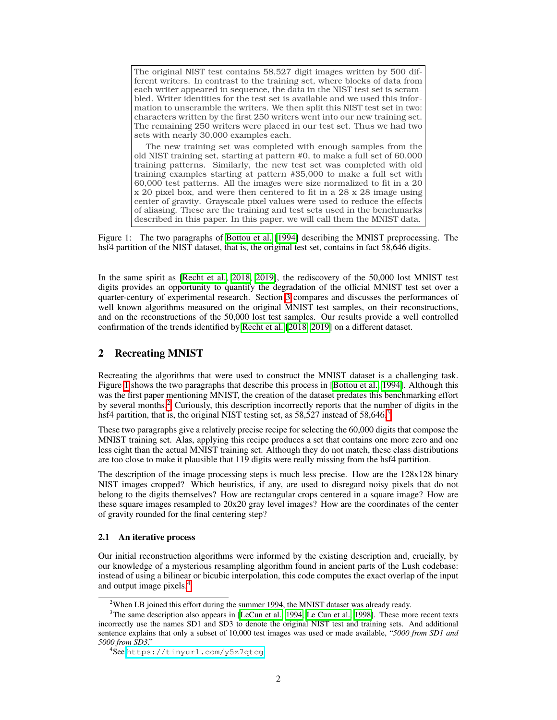The original NIST test contains 58,527 digit images written by 500 different writers. In contrast to the training set, where blocks of data from each writer appeared in sequence, the data in the NIST test set is scrambled. Writer identities for the test set is available and we used this information to unscramble the writers. We then split this NIST test set in two: characters written by the first 250 writers went into our new training set. The remaining 250 writers were placed in our test set. Thus we had two sets with nearly 30,000 examples each.

The new training set was completed with enough samples from the old NIST training set, starting at pattern #0, to make a full set of 60,000 training patterns. Similarly, the new test set was completed with old training examples starting at pattern #35,000 to make a full set with 60,000 test patterns. All the images were size normalized to fit in a 20 x 20 pixel box, and were then centered to fit in a 28 x 28 image using center of gravity. Grayscale pixel values were used to reduce the effects of aliasing. These are the training and test sets used in the benchmarks described in this paper. In this paper, we will call them the MNIST data.

<span id="page-1-1"></span>Figure 1: The two paragraphs of **Bottou et al.** [\[1994\]](#page-9-4) describing the MNIST preprocessing. The hsf4 partition of the NIST dataset, that is, the original test set, contains in fact 58,646 digits.

In the same spirit as **[\[Recht et al., 2018,](#page-9-2) [2019\]](#page-9-3)**, the rediscovery of the 50,000 lost MNIST test digits provides an opportunity to quantify the degradation of the official MNIST test set over a quarter-century of experimental research. Section  $\beta$  compares and discusses the performances of well known algorithms measured on the original MNIST test samples, on their reconstructions, and on the reconstructions of the 50,000 lost test samples. Our results provide a well controlled confirmation of the trends identified by [Recht et al.](#page-9-2) [\[2018,](#page-9-2) [2019\]](#page-9-3) on a different dataset.

# <span id="page-1-0"></span>2 Recreating MNIST

Recreating the algorithms that were used to construct the MNIST dataset is a challenging task. Figure  $\Pi$  shows the two paragraphs that describe this process in **[Bottou et al., [1](#page-1-1)994]**. Although this was the first paper mentioning MNIST, the creation of the dataset predates this benchmarking effort by several months.<sup>[2](#page-1-2)</sup> Curiously, this description incorrectly reports that the number of digits in the hsf4 partition, that is, the original NIST testing set, as 58,527 instead of 58,646 $\frac{3}{5}$ 

These two paragraphs give a relatively precise recipe for selecting the 60,000 digits that compose the MNIST training set. Alas, applying this recipe produces a set that contains one more zero and one less eight than the actual MNIST training set. Although they do not match, these class distributions are too close to make it plausible that 119 digits were really missing from the hsf4 partition.

The description of the image processing steps is much less precise. How are the 128x128 binary NIST images cropped? Which heuristics, if any, are used to disregard noisy pixels that do not belong to the digits themselves? How are rectangular crops centered in a square image? How are these square images resampled to 20x20 gray level images? How are the coordinates of the center of gravity rounded for the final centering step?

#### 2.1 An iterative process

Our initial reconstruction algorithms were informed by the existing description and, crucially, by our knowledge of a mysterious resampling algorithm found in ancient parts of the Lush codebase: instead of using a bilinear or bicubic interpolation, this code computes the exact overlap of the input and output image pixels. $^{4}$ 

<span id="page-1-3"></span><span id="page-1-2"></span><sup>&</sup>lt;sup>2</sup>When LB joined this effort during the summer 1994, the MNIST dataset was already ready.

<sup>&</sup>lt;sup>3</sup>The same description also appears in  $[LECun et al., 1994]$  [Le Cun et al., 1998\]](#page-9-5). These more recent texts incorrectly use the names SD1 and SD3 to denote the original NIST test and training sets. And additional sentence explains that only a subset of 10,000 test images was used or made available, "*5000 from SD1 and 5000 from SD3*."

<span id="page-1-4"></span><sup>4</sup> See <https://tinyurl.com/y5z7qtcg>.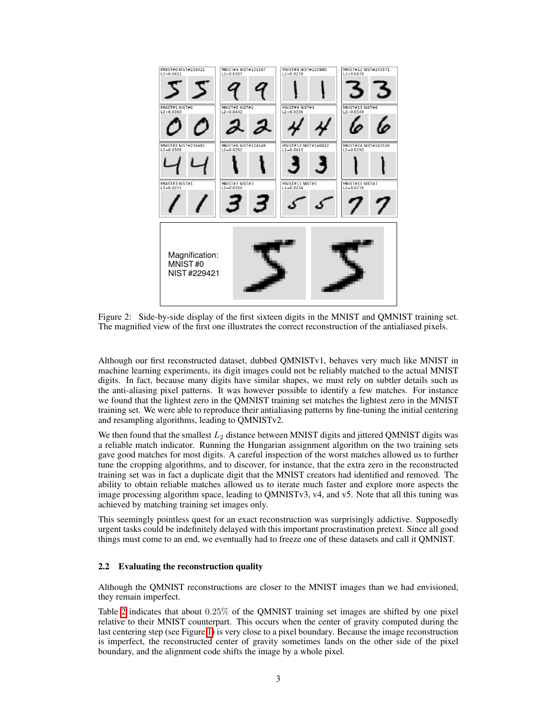

<span id="page-2-0"></span>Figure 2: Side-by-side display of the first sixteen digits in the MNIST and QMNIST training set. The magnified view of the first one illustrates the correct reconstruction of the antialiased pixels.

Although our first reconstructed dataset, dubbed QMNISTv1, behaves very much like MNIST in machine learning experiments, its digit images could not be reliably matched to the actual MNIST digits. In fact, because many digits have similar shapes, we must rely on subtler details such as the anti-aliasing pixel patterns. It was however possible to identify a few matches. For instance we found that the lightest zero in the QMNIST training set matches the lightest zero in the MNIST training set. We were able to reproduce their antialiasing patterns by fine-tuning the initial centering and resampling algorithms, leading to QMNISTv2.

We then found that the smallest  $L_2$  distance between MNIST digits and jittered QMNIST digits was a reliable match indicator. Running the Hungarian assignment algorithm on the two training sets gave good matches for most digits. A careful inspection of the worst matches allowed us to further tune the cropping algorithms, and to discover, for instance, that the extra zero in the reconstructed training set was in fact a duplicate digit that the MNIST creators had identified and removed. The ability to obtain reliable matches allowed us to iterate much faster and explore more aspects the image processing algorithm space, leading to QMNISTv3, v4, and v5. Note that all this tuning was achieved by matching training set images only.

This seemingly pointless quest for an exact reconstruction was surprisingly addictive. Supposedly urgent tasks could be indefinitely delayed with this important procrastination pretext. Since all good things must come to an end, we eventually had to freeze one of these datasets and call it QMNIST.

#### 2.2 Evaluating the reconstruction quality

Although the QMNIST reconstructions are closer to the MNIST images than we had envisioned, they remain imperfect.

Table  $\overline{2}$  indicates that about 0.25% of the QMNIST training set images are shifted by one pixel relative to their MNIST counterpart. This occurs when the center of gravity computed during the last centering step (see Figure  $\prod$ ) is very close to a pixel boundary. Because the image reconstruction is imperfect, the reconstructed center of gravity sometimes lands on the other side of the pixel boundary, and the alignment code shifts the image by a whole pixel.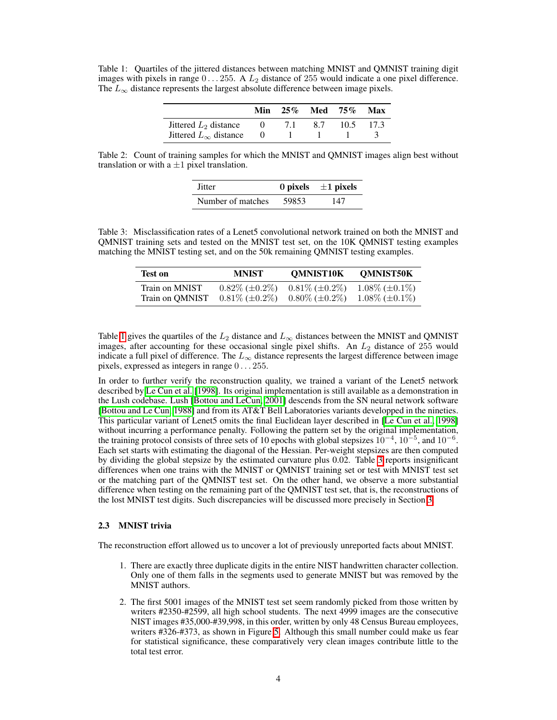<span id="page-3-1"></span>Table 1: Quartiles of the jittered distances between matching MNIST and QMNIST training digit images with pixels in range 0 *...* 255. A *L*<sup>2</sup> distance of 255 would indicate a one pixel difference. The  $L_{\infty}$  distance represents the largest absolute difference between image pixels.

|                                | Min |       | $25\%$ Med $75\%$ |      | Max  |
|--------------------------------|-----|-------|-------------------|------|------|
| Jittered $L_2$ distance        |     | -7. L | 87                | 10.5 | 17.3 |
| Jittered $L_{\infty}$ distance |     |       |                   |      |      |

<span id="page-3-0"></span>Table 2: Count of training samples for which the MNIST and QMNIST images align best without translation or with a  $\pm 1$  pixel translation.

| Jitter            |       | 0 pixels $\pm 1$ pixels |
|-------------------|-------|-------------------------|
| Number of matches | 59853 | 147                     |

<span id="page-3-2"></span>Table 3: Misclassification rates of a Lenet5 convolutional network trained on both the MNIST and QMNIST training sets and tested on the MNIST test set, on the 10K QMNIST testing examples matching the MNIST testing set, and on the 50k remaining QMNIST testing examples.

| <b>Test on</b>  | <b>MNIST</b>             | <b>QMNIST10K</b>         | QMNIST50K                |
|-----------------|--------------------------|--------------------------|--------------------------|
| Train on MNIST  | $0.82\%$ ( $\pm 0.2\%$ ) | $0.81\%$ ( $\pm 0.2\%$ ) | $1.08\%$ ( $\pm 0.1\%$ ) |
| Train on OMNIST | $0.81\%$ ( $\pm 0.2\%$ ) | $0.80\%$ ( $\pm 0.2\%$ ) | $1.08\%$ ( $\pm 0.1\%$ ) |

Table  $\overline{\Pi}$  gives the quartiles of the  $L_2$  distance and  $L_{\infty}$  distances between the MNIST and QMNIST images, after accounting for these occasional single pixel shifts. An *L*<sup>2</sup> distance of 255 would indicate a full pixel of difference. The  $L_{\infty}$  distance represents the largest difference between image pixels, expressed as integers in range 0 *...* 255.

In order to further verify the reconstruction quality, we trained a variant of the Lenet5 network described by [Le Cun et al.](#page-9-5) [\[1998\]](#page-9-5). Its original implementation is still available as a demonstration in the Lush codebase. Lush **[\[Bottou and LeCun, 2001\]](#page-9-6)** descends from the SN neural network software [\[Bottou and Le Cun, 1988\]](#page-9-7) and from its AT&T Bell Laboratories variants developped in the nineties. This particular variant of Lenet5 omits the final Euclidean layer described in [Le Cun et al.] [1998] without incurring a performance penalty. Following the pattern set by the original implementation, the training protocol consists of three sets of 10 epochs with global stepsizes  $10^{-4}$ ,  $10^{-5}$ , and  $10^{-6}$ . Each set starts with estimating the diagonal of the Hessian. Per-weight stepsizes are then computed by dividing the global stepsize by the estimated curvature plus  $0.02$ . Table  $\overline{3}$  reports insignificant differences when one trains with the MNIST or QMNIST training set or test with MNIST test set or the matching part of the QMNIST test set. On the other hand, we observe a more substantial difference when testing on the remaining part of the QMNIST test set, that is, the reconstructions of the lost MNIST test digits. Such discrepancies will be discussed more precisely in Section [3.](#page-4-0)

#### 2.3 MNIST trivia

The reconstruction effort allowed us to uncover a lot of previously unreported facts about MNIST.

- 1. There are exactly three duplicate digits in the entire NIST handwritten character collection. Only one of them falls in the segments used to generate MNIST but was removed by the MNIST authors.
- 2. The first 5001 images of the MNIST test set seem randomly picked from those written by writers #2350-#2599, all high school students. The next 4999 images are the consecutive NIST images #35,000-#39,998, in this order, written by only 48 Census Bureau employees, writers  $\#326-\#373$ , as shown in Figure  $\boxed{5}$ . Although this small number could make us fear for statistical significance, these comparatively very clean images contribute little to the total test error.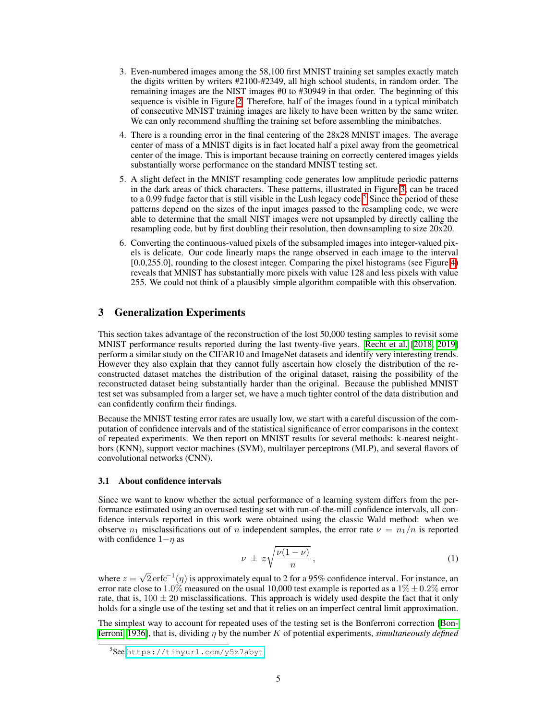- 3. Even-numbered images among the 58,100 first MNIST training set samples exactly match the digits written by writers #2100-#2349, all high school students, in random order. The remaining images are the NIST images #0 to #30949 in that order. The beginning of this sequence is visible in Figure  $\boxed{2}$ . Therefore, half of the images found in a typical minibatch of consecutive MNIST training images are likely to have been written by the same writer. We can only recommend shuffling the training set before assembling the minibatches.
- 4. There is a rounding error in the final centering of the 28x28 MNIST images. The average center of mass of a MNIST digits is in fact located half a pixel away from the geometrical center of the image. This is important because training on correctly centered images yields substantially worse performance on the standard MNIST testing set.
- 5. A slight defect in the MNIST resampling code generates low amplitude periodic patterns in the dark areas of thick characters. These patterns, illustrated in Figure  $\beta$ , can be traced to a 0.99 fudge factor that is still visible in the Lush legacy code.<sup>[5](#page-4-1)</sup> Since the period of these patterns depend on the sizes of the input images passed to the resampling code, we were able to determine that the small NIST images were not upsampled by directly calling the resampling code, but by first doubling their resolution, then downsampling to size 20x20.
- 6. Converting the continuous-valued pixels of the subsampled images into integer-valued pixels is delicate. Our code linearly maps the range observed in each image to the interval  $[0.0,255.0]$ , rounding to the closest integer. Comparing the pixel histograms (see Figure  $\overline{4}$ ) reveals that MNIST has substantially more pixels with value 128 and less pixels with value 255. We could not think of a plausibly simple algorithm compatible with this observation.

## <span id="page-4-0"></span>3 Generalization Experiments

This section takes advantage of the reconstruction of the lost 50,000 testing samples to revisit some MNIST performance results reported during the last twenty-five years. [Recht et al.](#page-9-2) [\[2018,](#page-9-2) [2019\]](#page-9-3) perform a similar study on the CIFAR10 and ImageNet datasets and identify very interesting trends. However they also explain that they cannot fully ascertain how closely the distribution of the reconstructed dataset matches the distribution of the original dataset, raising the possibility of the reconstructed dataset being substantially harder than the original. Because the published MNIST test set was subsampled from a larger set, we have a much tighter control of the data distribution and can confidently confirm their findings.

Because the MNIST testing error rates are usually low, we start with a careful discussion of the computation of confidence intervals and of the statistical significance of error comparisons in the context of repeated experiments. We then report on MNIST results for several methods: k-nearest neightbors (KNN), support vector machines (SVM), multilayer perceptrons (MLP), and several flavors of convolutional networks (CNN).

#### 3.1 About confidence intervals

Since we want to know whether the actual performance of a learning system differs from the performance estimated using an overused testing set with run-of-the-mill confidence intervals, all confidence intervals reported in this work were obtained using the classic Wald method: when we observe  $n_1$  misclassifications out of *n* independent samples, the error rate  $\nu = n_1/n$  is reported with confidence  $1-\eta$  as

<span id="page-4-2"></span>
$$
\nu \pm z \sqrt{\frac{\nu(1-\nu)}{n}}\,,\tag{1}
$$

where  $z = \sqrt{2} \text{erfc}^{-1}(\eta)$  is approximately equal to 2 for a 95% confidence interval. For instance, an error rate close to 1.0% measured on the usual 10,000 test example is reported as a  $1\% \pm 0.2\%$  error rate, that is,  $100 \pm 20$  misclassifications. This approach is widely used despite the fact that it only holds for a single use of the testing set and that it relies on an imperfect central limit approximation.

The simplest way to account for repeated uses of the testing set is the Bonferroni correction [\[Bon](#page-9-8)**ferroni, 1936**, that is, dividing  $\eta$  by the number K of potential experiments, *simultaneously defined* 

<span id="page-4-1"></span><sup>5</sup> See <https://tinyurl.com/y5z7abyt>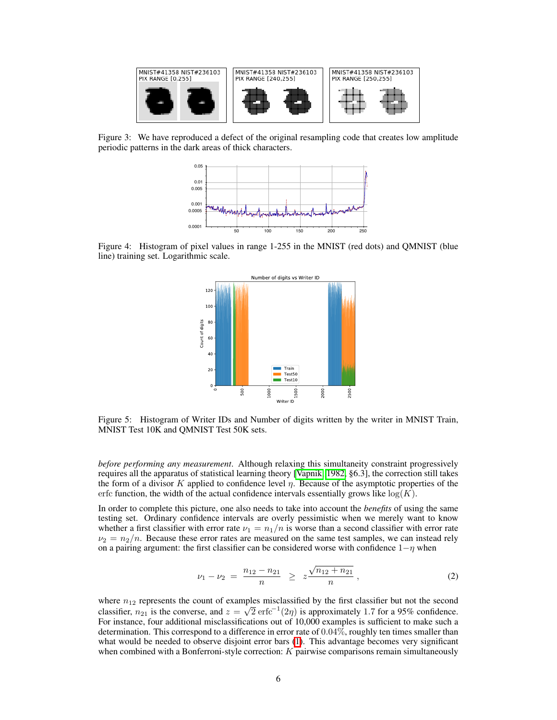

<span id="page-5-1"></span>Figure 3: We have reproduced a defect of the original resampling code that creates low amplitude periodic patterns in the dark areas of thick characters.



<span id="page-5-2"></span>Figure 4: Histogram of pixel values in range 1-255 in the MNIST (red dots) and QMNIST (blue line) training set. Logarithmic scale.



<span id="page-5-0"></span>Figure 5: Histogram of Writer IDs and Number of digits written by the writer in MNIST Train, MNIST Test 10K and QMNIST Test 50K sets.

*before performing any measurement*. Although relaxing this simultaneity constraint progressively requires all the apparatus of statistical learning theory [\[Vapnik, 1982,](#page-9-9) §6.3], the correction still takes the form of a divisor  $K$  applied to confidence level  $\eta$ . Because of the asymptotic properties of the erfc function, the width of the actual confidence intervals essentially grows like  $log(K)$ .

In order to complete this picture, one also needs to take into account the *benefits* of using the same testing set. Ordinary confidence intervals are overly pessimistic when we merely want to know whether a first classifier with error rate  $\nu_1 = n_1/n$  is worse than a second classifier with error rate  $\nu_2 = n_2/n$ . Because these error rates are measured on the same test samples, we can instead rely on a pairing argument: the first classifier can be considered worse with confidence  $1-\eta$  when

$$
\nu_1 - \nu_2 = \frac{n_{12} - n_{21}}{n} \geq z \frac{\sqrt{n_{12} + n_{21}}}{n}, \qquad (2)
$$

where  $n_{12}$  represents the count of examples misclassified by the first classifier but not the second classifier,  $n_{21}$  is the converse, and  $z = \sqrt{2} \arccos \left( \frac{2\eta}{2} \right)$  is approximately 1.7 for a 95% confidence. For instance, four additional misclassifications out of 10,000 examples is sufficient to make such a determination. This correspond to a difference in error rate of 0*.*04%, roughly ten times smaller than what would be needed to observe disjoint error bars  $\overline{1}$ . This advantage becomes very significant when combined with a Bonferroni-style correction: *K* pairwise comparisons remain simultaneously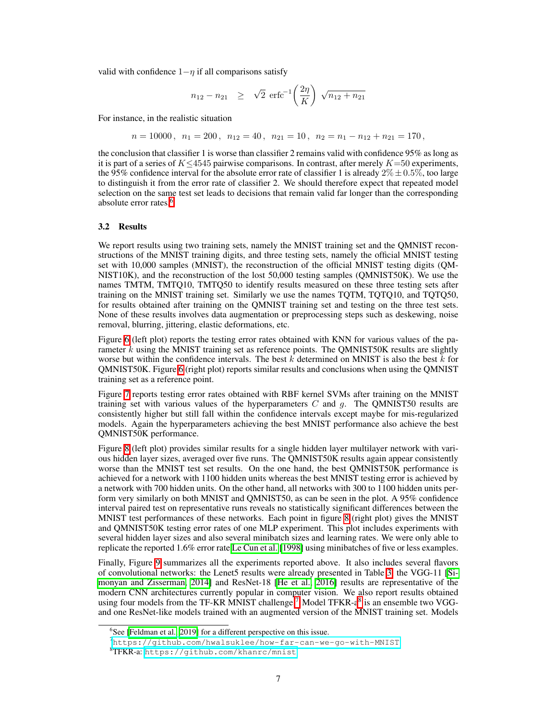valid with confidence  $1 - \eta$  if all comparisons satisfy

$$
n_{12} - n_{21} \geq \sqrt{2} \, \arccos \left( \frac{2\eta}{K} \right) \sqrt{n_{12} + n_{21}}
$$

For instance, in the realistic situation

$$
n = 10000, \ n_1 = 200, \ n_{12} = 40, \ n_{21} = 10, \ n_2 = n_1 - n_{12} + n_{21} = 170,
$$

the conclusion that classifier 1 is worse than classifier 2 remains valid with confidence 95% as long as it is part of a series of  $K \leq 4545$  pairwise comparisons. In contrast, after merely  $K=50$  experiments, the 95% confidence interval for the absolute error rate of classifier 1 is already  $2\% \pm 0.5\%$ , too large to distinguish it from the error rate of classifier 2. We should therefore expect that repeated model selection on the same test set leads to decisions that remain valid far longer than the corresponding absolute error rates.<sup>6</sup>

#### 3.2 Results

We report results using two training sets, namely the MNIST training set and the QMNIST reconstructions of the MNIST training digits, and three testing sets, namely the official MNIST testing set with 10,000 samples (MNIST), the reconstruction of the official MNIST testing digits (QM-NIST10K), and the reconstruction of the lost 50,000 testing samples (QMNIST50K). We use the names TMTM, TMTQ10, TMTQ50 to identify results measured on these three testing sets after training on the MNIST training set. Similarly we use the names TQTM, TQTQ10, and TQTQ50, for results obtained after training on the QMNIST training set and testing on the three test sets. None of these results involves data augmentation or preprocessing steps such as deskewing, noise removal, blurring, jittering, elastic deformations, etc.

Figure  $\overline{6}$  (left plot) reports the testing error rates obtained with KNN for various values of the parameter *k* using the MNIST training set as reference points. The QMNIST50K results are slightly worse but within the confidence intervals. The best *k* determined on MNIST is also the best *k* for  $OMNIST50K$ . Figure  $\overline{6}$  (right plot) reports similar results and conclusions when using the QMNIST training set as a reference point.

Figure  $\overline{7}$  reports testing error rates obtained with RBF kernel SVMs after training on the MNIST training set with various values of the hyperparameters *C* and *g*. The QMNIST50 results are consistently higher but still fall within the confidence intervals except maybe for mis-regularized models. Again the hyperparameters achieving the best MNIST performance also achieve the best QMNIST50K performance.

Figure  $\frac{1}{8}$  (left plot) provides similar results for a single hidden layer multilayer network with various hidden layer sizes, averaged over five runs. The QMNIST50K results again appear consistently worse than the MNIST test set results. On the one hand, the best QMNIST50K performance is achieved for a network with 1100 hidden units whereas the best MNIST testing error is achieved by a network with 700 hidden units. On the other hand, all networks with 300 to 1100 hidden units perform very similarly on both MNIST and QMNIST50, as can be seen in the plot. A 95% confidence interval paired test on representative runs reveals no statistically significant differences between the MNIST test performances of these networks. Each point in figure  $\frac{8}{10}$  (right plot) gives the MNIST and QMNIST50K testing error rates of one MLP experiment. This plot includes experiments with several hidden layer sizes and also several minibatch sizes and learning rates. We were only able to replicate the reported 1.6% error rate [Le Cun et al.](#page-9-5)  $[1998]$  using minibatches of five or less examples.

Finally, Figure  $\overline{9}$  summarizes all the experiments reported above. It also includes several flavors of convolutional networks: the Lenet5 results were already presented in Table  $\overline{3}$ , the VGG-11  $\overline{S}$ i[monyan and Zisserman, 2014\]](#page-9-10) and ResNet-18 [\[He et al., 2016\]](#page-9-11) results are representative of the modern CNN architectures currently popular in computer vision. We also report results obtained using four models from the TF-KR MNIST challenge.<sup>[7](#page-6-1)</sup> Model TFKR-a<sup>8</sup> is an ensemble two VGGand one ResNet-like models trained with an augmented version of the MNIST training set. Models

<span id="page-6-0"></span><sup>&</sup>lt;sup>6</sup>See [Feldman et al.,  $2019$ ] for a different perspective on this issue.

<span id="page-6-1"></span><sup>7</sup><https://github.com/hwalsuklee/how-far-can-we-go-with-MNIST>

<span id="page-6-2"></span><sup>8</sup> TFKR-a: <https://github.com/khanrc/mnist>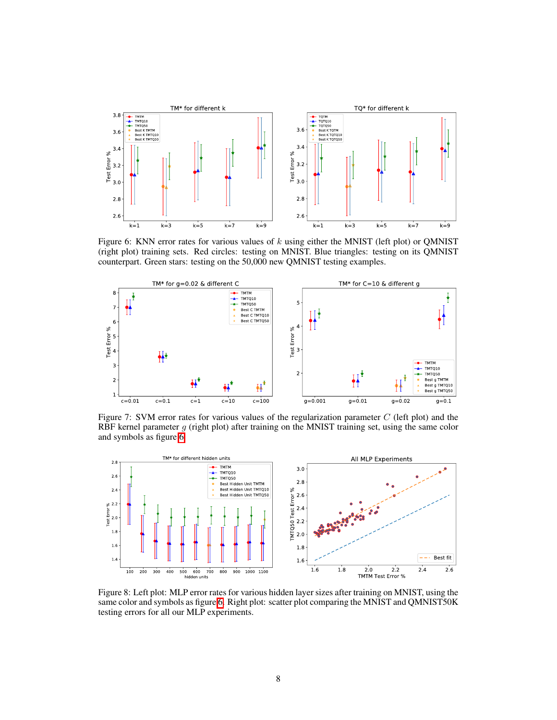

<span id="page-7-0"></span>Figure 6: KNN error rates for various values of *k* using either the MNIST (left plot) or QMNIST (right plot) training sets. Red circles: testing on MNIST. Blue triangles: testing on its QMNIST counterpart. Green stars: testing on the 50,000 new QMNIST testing examples.



<span id="page-7-1"></span>Figure 7: SVM error rates for various values of the regularization parameter *C* (left plot) and the RBF kernel parameter *g* (right plot) after training on the MNIST training set, using the same color and symbols as figure  $\overline{6}$ .



<span id="page-7-2"></span>Figure 8: Left plot: MLP error rates for various hidden layer sizes after training on MNIST, using the same color and symbols as figure  $\overline{6}$ . Right plot: scatter plot comparing the MNIST and QMNIST50K testing errors for all our MLP experiments.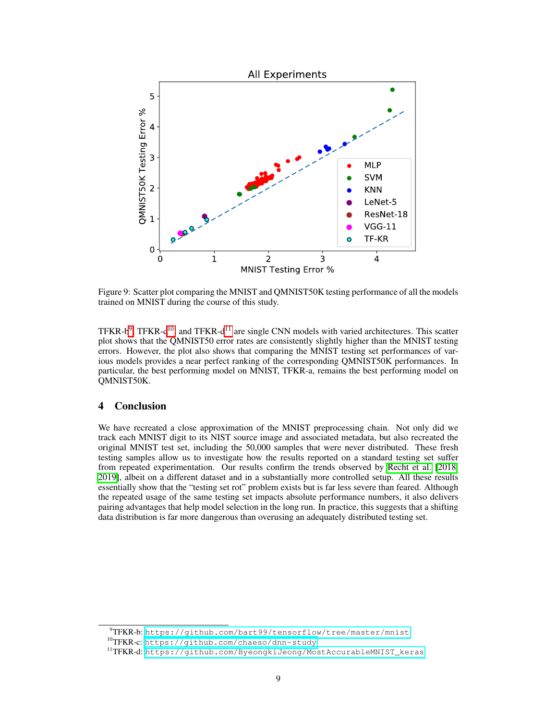

<span id="page-8-0"></span>Figure 9: Scatter plot comparing the MNIST and QMNIST50K testing performance of all the models trained on MNIST during the course of this study.

TFKR- $b^9$ , TFKR- $c^{10}$ , and TFKR- $d^{11}$  are single CNN models with varied architectures. This scatter plot shows that the QMNIST50 error rates are consistently slightly higher than the MNIST testing errors. However, the plot also shows that comparing the MNIST testing set performances of various models provides a near perfect ranking of the corresponding QMNIST50K performances. In particular, the best performing model on MNIST, TFKR-a, remains the best performing model on QMNIST50K.

# 4 Conclusion

We have recreated a close approximation of the MNIST preprocessing chain. Not only did we track each MNIST digit to its NIST source image and associated metadata, but also recreated the original MNIST test set, including the 50,000 samples that were never distributed. These fresh testing samples allow us to investigate how the results reported on a standard testing set suffer from repeated experimentation. Our results confirm the trends observed by [Recht et al.](#page-9-2) [\[2018,](#page-9-2) [2019\]](#page-9-3), albeit on a different dataset and in a substantially more controlled setup. All these results essentially show that the "testing set rot" problem exists but is far less severe than feared. Although the repeated usage of the same testing set impacts absolute performance numbers, it also delivers pairing advantages that help model selection in the long run. In practice, this suggests that a shifting data distribution is far more dangerous than overusing an adequately distributed testing set.

<span id="page-8-1"></span><sup>&</sup>lt;sup>9</sup>TFKR-b: <https://github.com/bart99/tensorflow/tree/master/mnist>

<span id="page-8-2"></span><sup>10</sup>TFKR-c: <https://github.com/chaeso/dnn-study>

<span id="page-8-3"></span><sup>&</sup>lt;sup>11</sup>TFKR-d: [https://github.com/ByeongkiJeong/MostAccurableMNIST\\_keras](https://github.com/ByeongkiJeong/MostAccurableMNIST_keras)